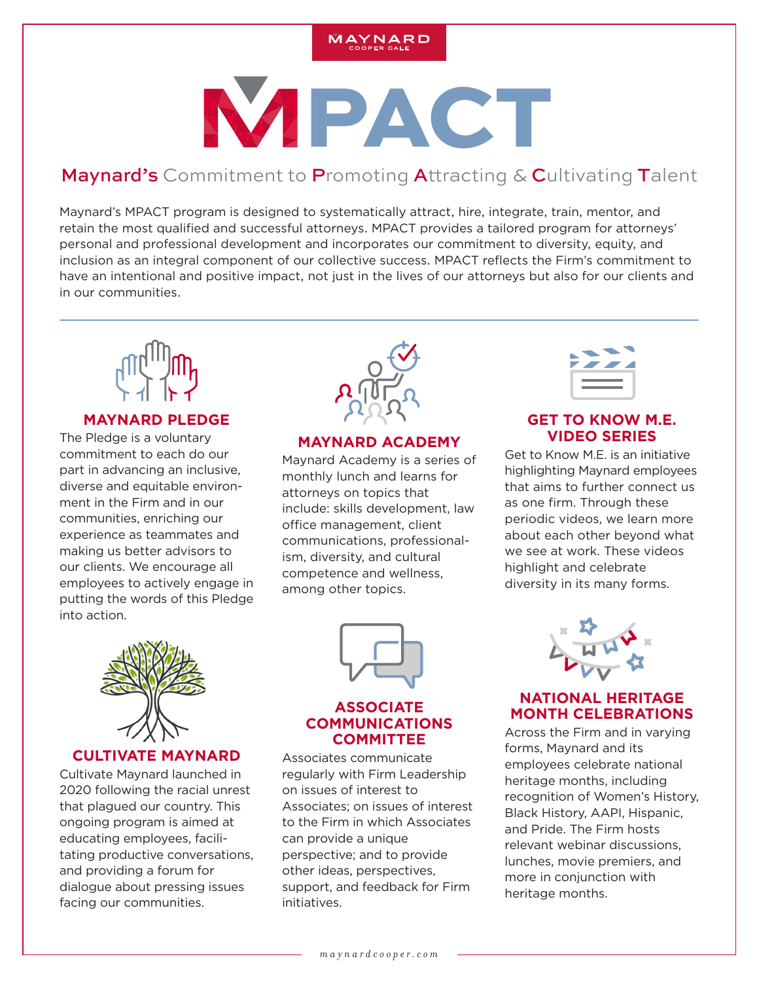

# **WPACT**

# Maynard's Commitment to Promoting Attracting & Cultivating Talent

retain the most qualified and successful attorneys. MPACT provides a tailored program for attorneys' Maynard's MPACT program is designed to systematically attract, hire, integrate, train, mentor, and personal and professional development and incorporates our commitment to diversity, equity, and inclusion as an integral component of our collective success. MPACT reflects the Firm's commitment to have an intentional and positive impact, not just in the lives of our attorneys but also for our clients and in our communities.



#### **MAYNARD PLEDGE**

The Pledge is a voluntary commitment to each do our part in advancing an inclusive, diverse and equitable environment in the Firm and in our communities, enriching our experience as teammates and making us better advisors to our clients. We encourage all employees to actively engage in putting the words of this Pledge into action.



#### **MAYNARD ACADEMY**

Maynard Academy is a series of monthly lunch and learns for attorneys on topics that include: skills development, law office management, client communications, professionalism, diversity, and cultural competence and wellness, among other topics.

#### **GET TO KNOW M.E. VIDEO SERIES**

Get to Know M.E. is an initiative highlighting Maynard employees that aims to further connect us as one firm. Through these periodic videos, we learn more about each other beyond what we see at work. These videos highlight and celebrate diversity in its many forms.



#### **CULTIVATE MAYNARD**

Cultivate Maynard launched in 2020 following the racial unrest that plagued our country. This ongoing program is aimed at educating employees, facilitating productive conversations, and providing a forum for dialogue about pressing issues facing our communities.



#### **ASSOCIATE COMMUNICATIONS COMMITTEE**

Associates communicate regularly with Firm Leadership on issues of interest to Associates; on issues of interest to the Firm in which Associates can provide a unique perspective; and to provide other ideas, perspectives, support, and feedback for Firm initiatives.



# **NATIONAL HERITAGE MONTH CELEBRATIONS**

Across the Firm and in varying forms, Maynard and its employees celebrate national heritage months, including recognition of Women's History, Black History, AAPI, Hispanic, and Pride. The Firm hosts relevant webinar discussions, lunches, movie premiers, and more in conjunction with heritage months.